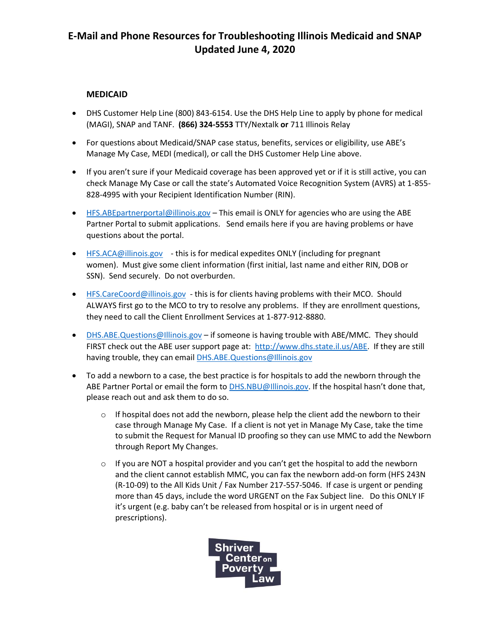## **E-Mail and Phone Resources for Troubleshooting Illinois Medicaid and SNAP Updated June 4, 2020**

## **MEDICAID**

- DHS Customer Help Line (800) 843-6154. Use the DHS Help Line to apply by phone for medical (MAGI), SNAP and TANF. **(866) 324-5553** TTY/Nextalk **or** 711 Illinois Relay
- For questions about Medicaid/SNAP case status, benefits, services or eligibility, use ABE's Manage My Case, MEDI (medical), or call the DHS Customer Help Line above.
- If you aren't sure if your Medicaid coverage has been approved yet or if it is still active, you can check Manage My Case or call the state's Automated Voice Recognition System (AVRS) at 1-855- 828-4995 with your Recipient Identification Number (RIN).
- HFS.ABEpartnerportal@illinois.gov This email is ONLY for agencies who are using the ABE Partner Portal to submit applications. Send emails here if you are having problems or have questions about the portal.
- HFS.ACA@illinois.gov this is for medical expedites ONLY (including for pregnant women). Must give some client information (first initial, last name and either RIN, DOB or SSN). Send securely. Do not overburden.
- HFS.CareCoord@illinois.gov this is for clients having problems with their MCO. Should ALWAYS first go to the MCO to try to resolve any problems. If they are enrollment questions, they need to call the Client Enrollment Services at 1-877-912-8880.
- DHS.ABE.Questions@Illinois.gov if someone is having trouble with ABE/MMC. They should FIRST check out the ABE user support page at: http://www.dhs.state.il.us/ABE. If they are still having trouble, they can email DHS.ABE.Questions@Illinois.gov
- To add a newborn to a case, the best practice is for hospitals to add the newborn through the ABE Partner Portal or email the form to DHS.NBU@Illinois.gov. If the hospital hasn't done that, please reach out and ask them to do so.
	- $\circ$  If hospital does not add the newborn, please help the client add the newborn to their case through Manage My Case. If a client is not yet in Manage My Case, take the time to submit the Request for Manual ID proofing so they can use MMC to add the Newborn through Report My Changes.
	- $\circ$  If you are NOT a hospital provider and you can't get the hospital to add the newborn and the client cannot establish MMC, you can fax the newborn add-on form (HFS 243N (R-10-09) to the All Kids Unit / Fax Number 217-557-5046. If case is urgent or pending more than 45 days, include the word URGENT on the Fax Subject line. Do this ONLY IF it's urgent (e.g. baby can't be released from hospital or is in urgent need of prescriptions).